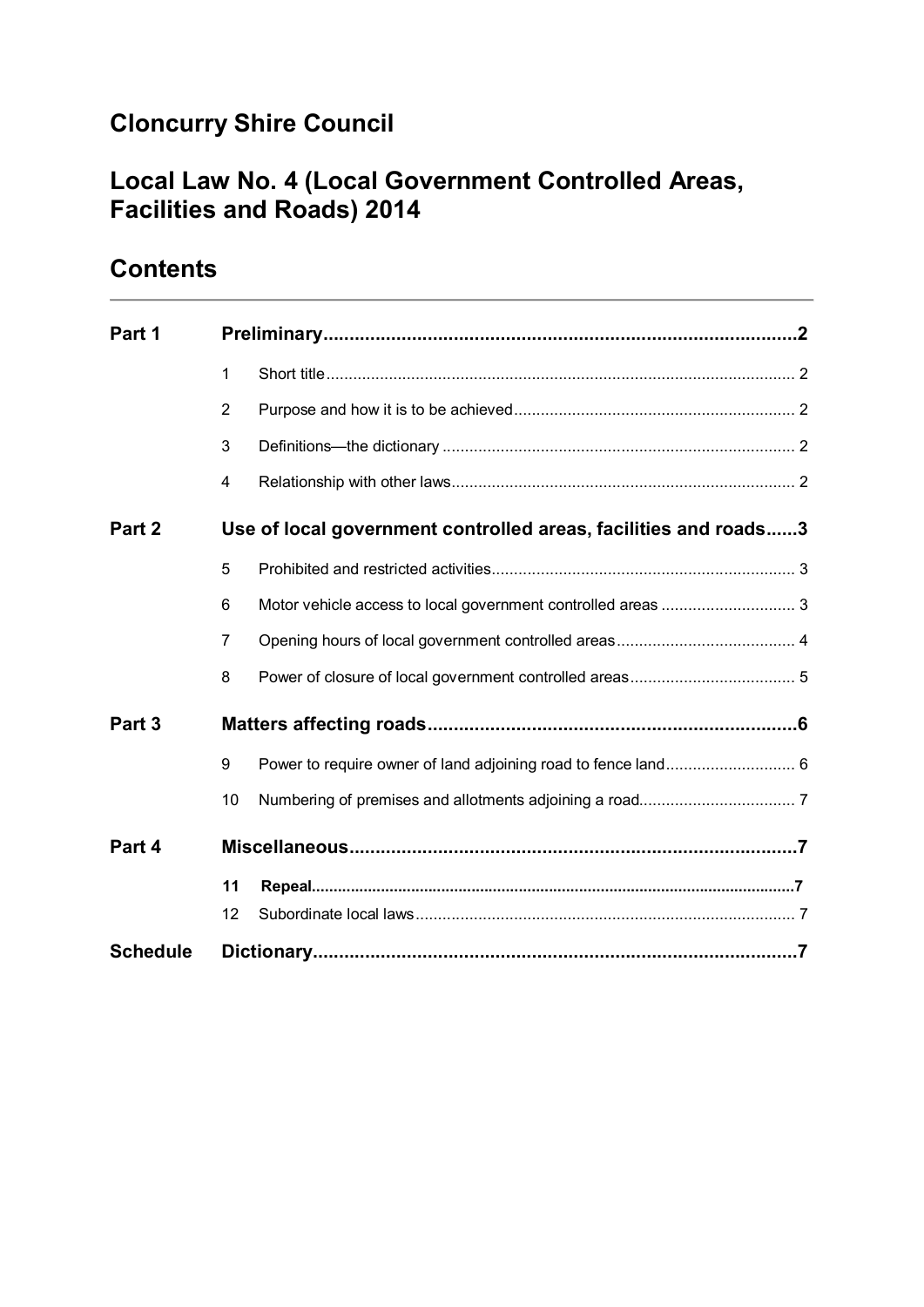# **Cloncurry Shire Council**

# **Local Law No. 4 (Local Government Controlled Areas, Facilities and Roads) 2014**

# **Part 1 Preliminary...........................................................................................2** 1 Short title......................................................................................................... 2 2 Purpose and how it is to be achieved............................................................... 2 3 Definitions—the dictionary ............................................................................... 2 4 Relationship with other laws............................................................................. 2 **Part 2 Use of local government controlled areas, facilities and roads......3** 5 Prohibited and restricted activities.................................................................... 3 6 Motor vehicle access to local government controlled areas .............................. 3 7 Opening hours of local government controlled areas........................................ 4 8 Power of closure of local government controlled areas..................................... 5 **Part 3 Matters affecting roads.......................................................................6** 9 Power to require owner of land adjoining road to fence land............................. 6 10 Numbering of premises and allotments adjoining a road................................... 7 **Part 4 Miscellaneous......................................................................................7 11 Repeal................................................................................................................7** 12 Subordinate local laws..................................................................................... 7 **Schedule Dictionary.............................................................................................7**

# **Contents**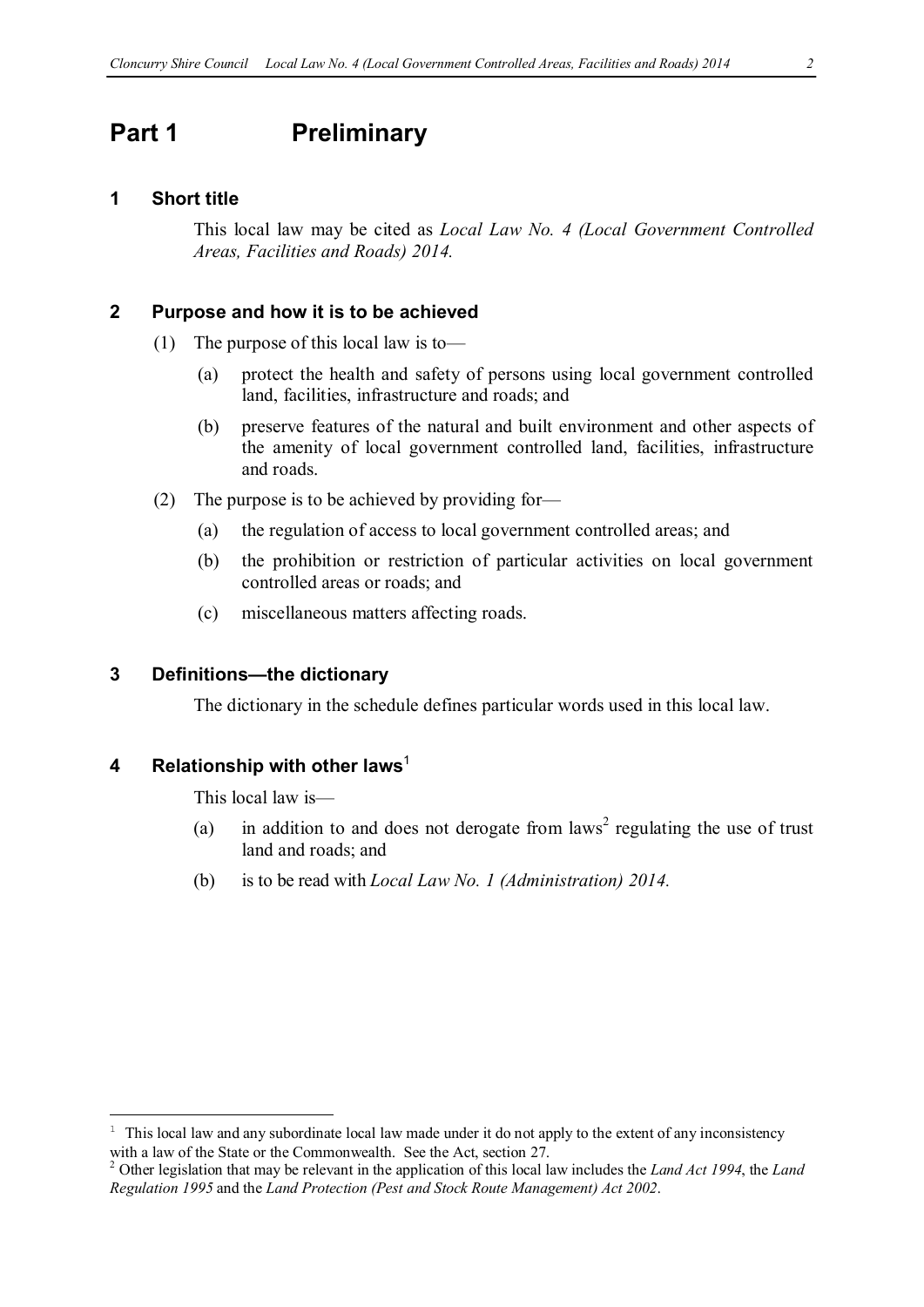## **Part 1 Preliminary**

#### **1 Short title**

This local law may be cited as *Local Law No. 4 (Local Government Controlled Areas, Facilities and Roads) 2014.*

#### **2 Purpose and how it is to be achieved**

- (1) The purpose of this local law is to—
	- (a) protect the health and safety of persons using local government controlled land, facilities, infrastructure and roads; and
	- (b) preserve features of the natural and built environment and other aspects of the amenity of local government controlled land, facilities, infrastructure and roads.
- (2) The purpose is to be achieved by providing for—
	- (a) the regulation of access to local government controlled areas; and
	- (b) the prohibition or restriction of particular activities on local government controlled areas or roads; and
	- (c) miscellaneous matters affecting roads.

#### **3 Definitions—the dictionary**

The dictionary in the schedule defines particular words used in this local law.

#### **4 Relationship with other laws**<sup>1</sup>

 $\overline{a}$ 

This local law is—

- (a) in addition to and does not derogate from laws<sup>2</sup> regulating the use of trust land and roads; and
- (b) is to be read with *Local Law No. 1 (Administration) 2014.*

<sup>1</sup> This local law and any subordinate local law made under it do not apply to the extent of any inconsistency with a law of the State or the Commonwealth. See the Act, section 27.

<sup>2</sup> Other legislation that may be relevant in the application of this local law includes the *Land Act 1994*, the *Land Regulation 1995* and the *Land Protection (Pest and Stock Route Management) Act 2002*.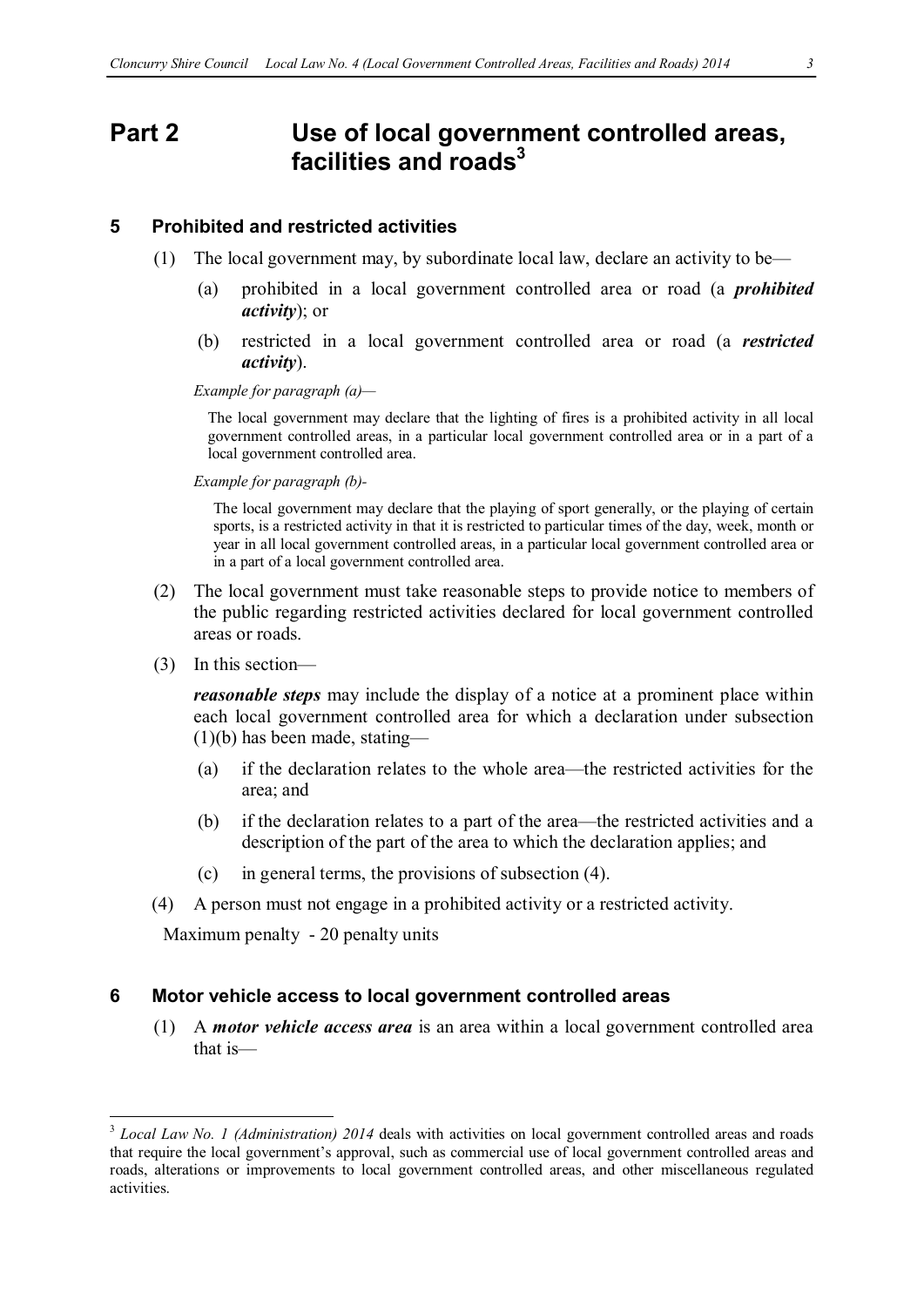# **Part 2 Use of local government controlled areas, facilities** and roads<sup>3</sup>

#### **5 Prohibited and restricted activities**

- (1) The local government may, by subordinate local law, declare an activity to be—
	- (a) prohibited in a local government controlled area or road (a *prohibited activity*); or
	- (b) restricted in a local government controlled area or road (a *restricted activity*).

*Example for paragraph (a)—*

The local government may declare that the lighting of fires is a prohibited activity in all local government controlled areas, in a particular local government controlled area or in a part of a local government controlled area.

*Example for paragraph (b)-*

The local government may declare that the playing of sport generally, or the playing of certain sports, is a restricted activity in that it is restricted to particular times of the day, week, month or year in all local government controlled areas, in a particular local government controlled area or in a part of a local government controlled area.

- (2) The local government must take reasonable steps to provide notice to members of the public regarding restricted activities declared for local government controlled areas or roads.
- (3) In this section—

*reasonable steps* may include the display of a notice at a prominent place within each local government controlled area for which a declaration under subsection  $(1)(b)$  has been made, stating—

- (a) if the declaration relates to the whole area—the restricted activities for the area; and
- (b) if the declaration relates to a part of the area—the restricted activities and a description of the part of the area to which the declaration applies; and
- (c) in general terms, the provisions of subsection (4).
- (4) A person must not engage in a prohibited activity or a restricted activity.

Maximum penalty - 20 penalty units

#### **6 Motor vehicle access to local government controlled areas**

(1) A *motor vehicle access area* is an area within a local government controlled area that is—

<sup>&</sup>lt;sup>3</sup> *Local Law No. 1 (Administration) 2014* deals with activities on local government controlled areas and roads that require the local government's approval, such as commercial use of local government controlled areas and roads, alterations or improvements to local government controlled areas, and other miscellaneous regulated activities.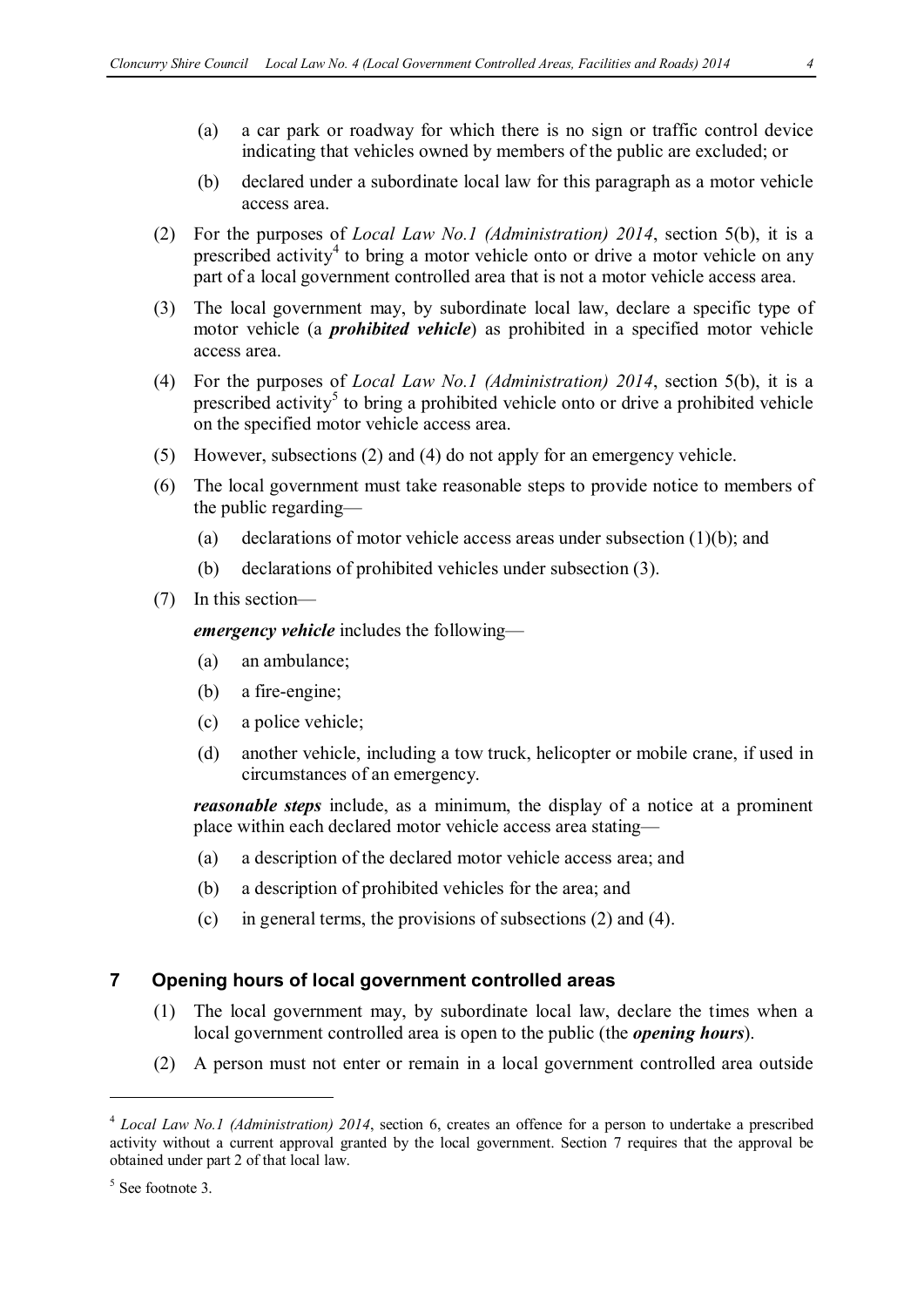- (a) a car park or roadway for which there is no sign or traffic control device indicating that vehicles owned by members of the public are excluded; or
- (b) declared under a subordinate local law for this paragraph as a motor vehicle access area.
- (2) For the purposes of *Local Law No.1 (Administration) 2014*, section 5(b), it is a prescribed activity<sup>4</sup> to bring a motor vehicle onto or drive a motor vehicle on any part of a local government controlled area that is not a motor vehicle access area.
- (3) The local government may, by subordinate local law, declare a specific type of motor vehicle (a *prohibited vehicle*) as prohibited in a specified motor vehicle access area.
- (4) For the purposes of *Local Law No.1 (Administration) 2014*, section 5(b), it is a prescribed activity<sup>5</sup> to bring a prohibited vehicle onto or drive a prohibited vehicle on the specified motor vehicle access area.
- (5) However, subsections (2) and (4) do not apply for an emergency vehicle.
- (6) The local government must take reasonable steps to provide notice to members of the public regarding—
	- (a) declarations of motor vehicle access areas under subsection (1)(b); and
	- (b) declarations of prohibited vehicles under subsection (3).
- (7) In this section—

*emergency vehicle* includes the following—

- (a) an ambulance;
- (b) a fire-engine;
- (c) a police vehicle;
- (d) another vehicle, including a tow truck, helicopter or mobile crane, if used in circumstances of an emergency.

*reasonable steps* include, as a minimum, the display of a notice at a prominent place within each declared motor vehicle access area stating—

- (a) a description of the declared motor vehicle access area; and
- (b) a description of prohibited vehicles for the area; and
- (c) in general terms, the provisions of subsections (2) and (4).

#### **7 Opening hours of local government controlled areas**

- (1) The local government may, by subordinate local law, declare the times when a local government controlled area is open to the public (the *opening hours*).
- (2) A person must not enter or remain in a local government controlled area outside

 $\overline{a}$ 

<sup>4</sup> *Local Law No.1 (Administration) 2014*, section 6, creates an offence for a person to undertake a prescribed activity without a current approval granted by the local government. Section 7 requires that the approval be obtained under part 2 of that local law.

 $5$  See footnote 3.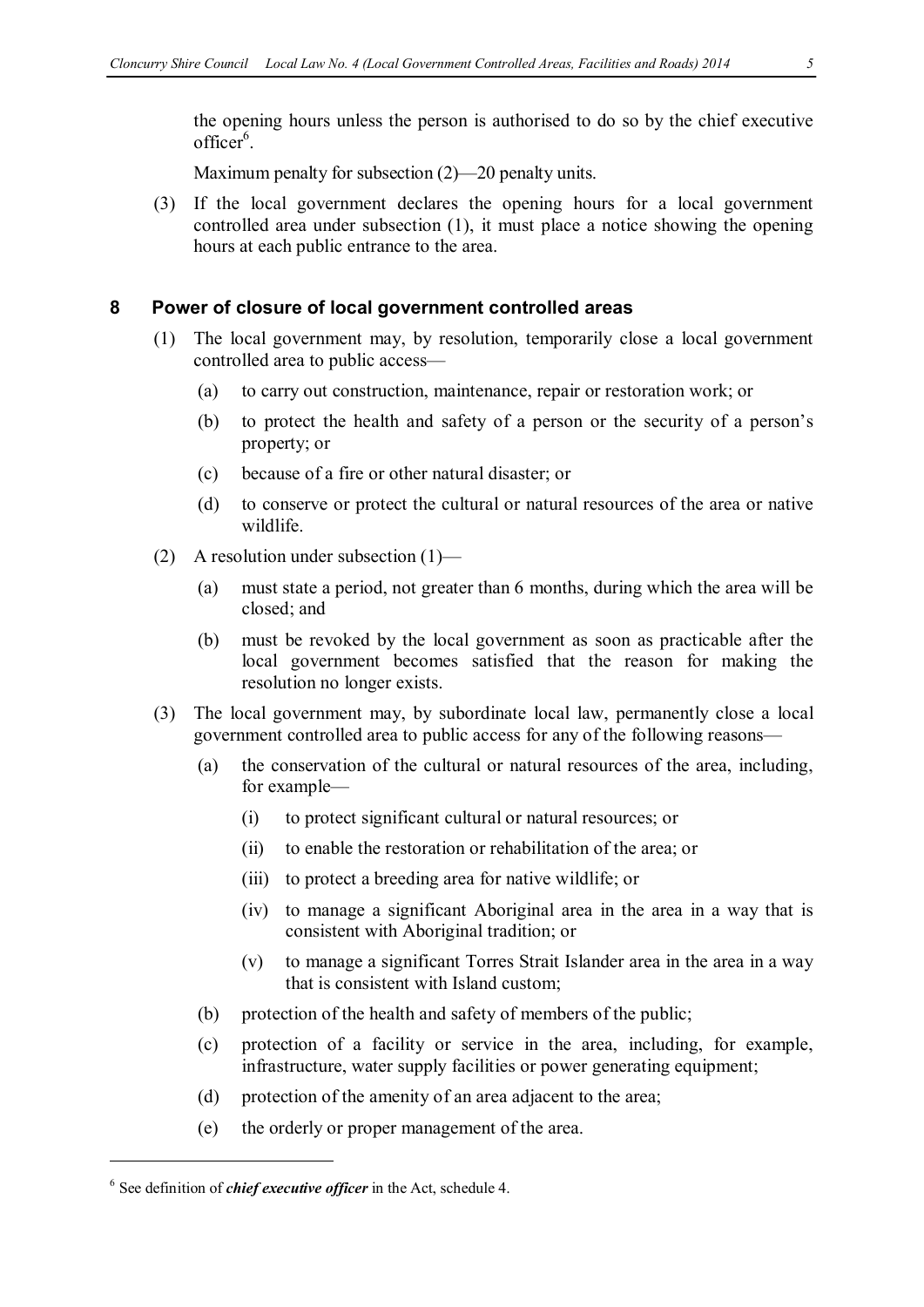the opening hours unless the person is authorised to do so by the chief executive officer<sup>6</sup>.

Maximum penalty for subsection (2)—20 penalty units.

(3) If the local government declares the opening hours for a local government controlled area under subsection (1), it must place a notice showing the opening hours at each public entrance to the area.

#### **8 Power of closure of local government controlled areas**

- (1) The local government may, by resolution, temporarily close a local government controlled area to public access—
	- (a) to carry out construction, maintenance, repair or restoration work; or
	- (b) to protect the health and safety of a person or the security of a person's property; or
	- (c) because of a fire or other natural disaster; or
	- (d) to conserve or protect the cultural or natural resources of the area or native wildlife.
- (2) A resolution under subsection (1)—
	- (a) must state a period, not greater than 6 months, during which the area will be closed; and
	- (b) must be revoked by the local government as soon as practicable after the local government becomes satisfied that the reason for making the resolution no longer exists.
- (3) The local government may, by subordinate local law, permanently close a local government controlled area to public access for any of the following reasons—
	- (a) the conservation of the cultural or natural resources of the area, including, for example—
		- (i) to protect significant cultural or natural resources; or
		- (ii) to enable the restoration or rehabilitation of the area; or
		- (iii) to protect a breeding area for native wildlife; or
		- (iv) to manage a significant Aboriginal area in the area in a way that is consistent with Aboriginal tradition; or
		- (v) to manage a significant Torres Strait Islander area in the area in a way that is consistent with Island custom;
	- (b) protection of the health and safety of members of the public;
	- (c) protection of a facility or service in the area, including, for example, infrastructure, water supply facilities or power generating equipment;
	- (d) protection of the amenity of an area adjacent to the area;
	- (e) the orderly or proper management of the area.

 $\overline{a}$ 

<sup>6</sup> See definition of *chief executive officer* in the Act, schedule 4.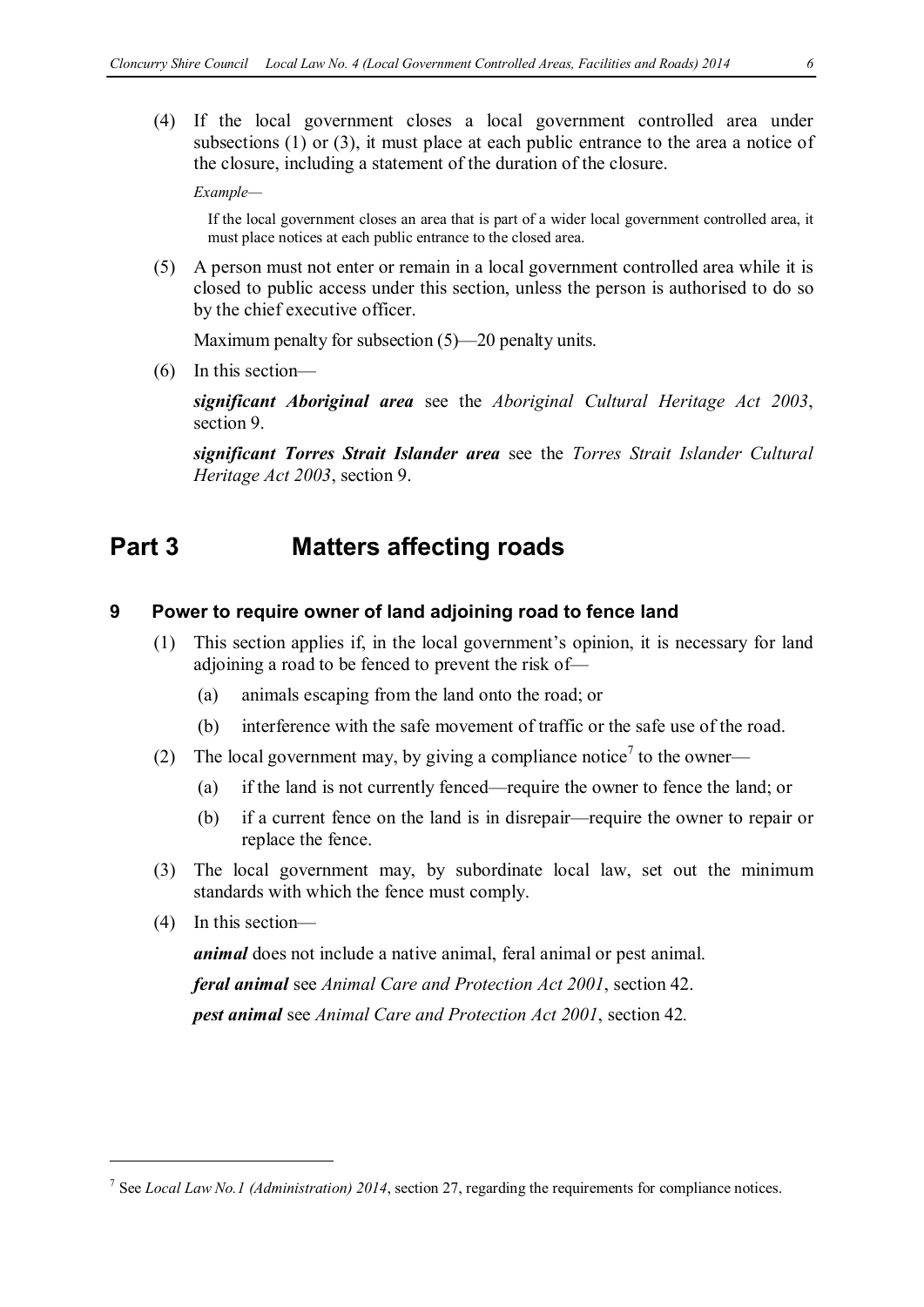(4) If the local government closes a local government controlled area under subsections (1) or (3), it must place at each public entrance to the area a notice of the closure, including a statement of the duration of the closure.

*Example—*

If the local government closes an area that is part of a wider local government controlled area, it must place notices at each public entrance to the closed area.

(5) A person must not enter or remain in a local government controlled area while it is closed to public access under this section, unless the person is authorised to do so by the chief executive officer.

Maximum penalty for subsection (5)—20 penalty units.

(6) In this section—

*significant Aboriginal area* see the *Aboriginal Cultural Heritage Act 2003*, section 9.

*significant Torres Strait Islander area* see the *Torres Strait Islander Cultural Heritage Act 2003*, section 9.

### **Part 3 Matters affecting roads**

#### **9 Power to require owner of land adjoining road to fence land**

- (1) This section applies if, in the local government's opinion, it is necessary for land adjoining a road to be fenced to prevent the risk of—
	- (a) animals escaping from the land onto the road; or
	- (b) interference with the safe movement of traffic or the safe use of the road.
- (2) The local government may, by giving a compliance notice<sup>7</sup> to the owner—
	- (a) if the land is not currently fenced—require the owner to fence the land; or
	- (b) if a current fence on the land is in disrepair—require the owner to repair or replace the fence.
- (3) The local government may, by subordinate local law, set out the minimum standards with which the fence must comply.
- (4) In this section—

 $\overline{a}$ 

*animal* does not include a native animal, feral animal or pest animal.

*feral animal* see *Animal Care and Protection Act 2001*, section 42. *pest animal* see *Animal Care and Protection Act 2001*, section 42*.*

<sup>7</sup> See *Local Law No.1 (Administration) 2014*, section 27, regarding the requirements for compliance notices.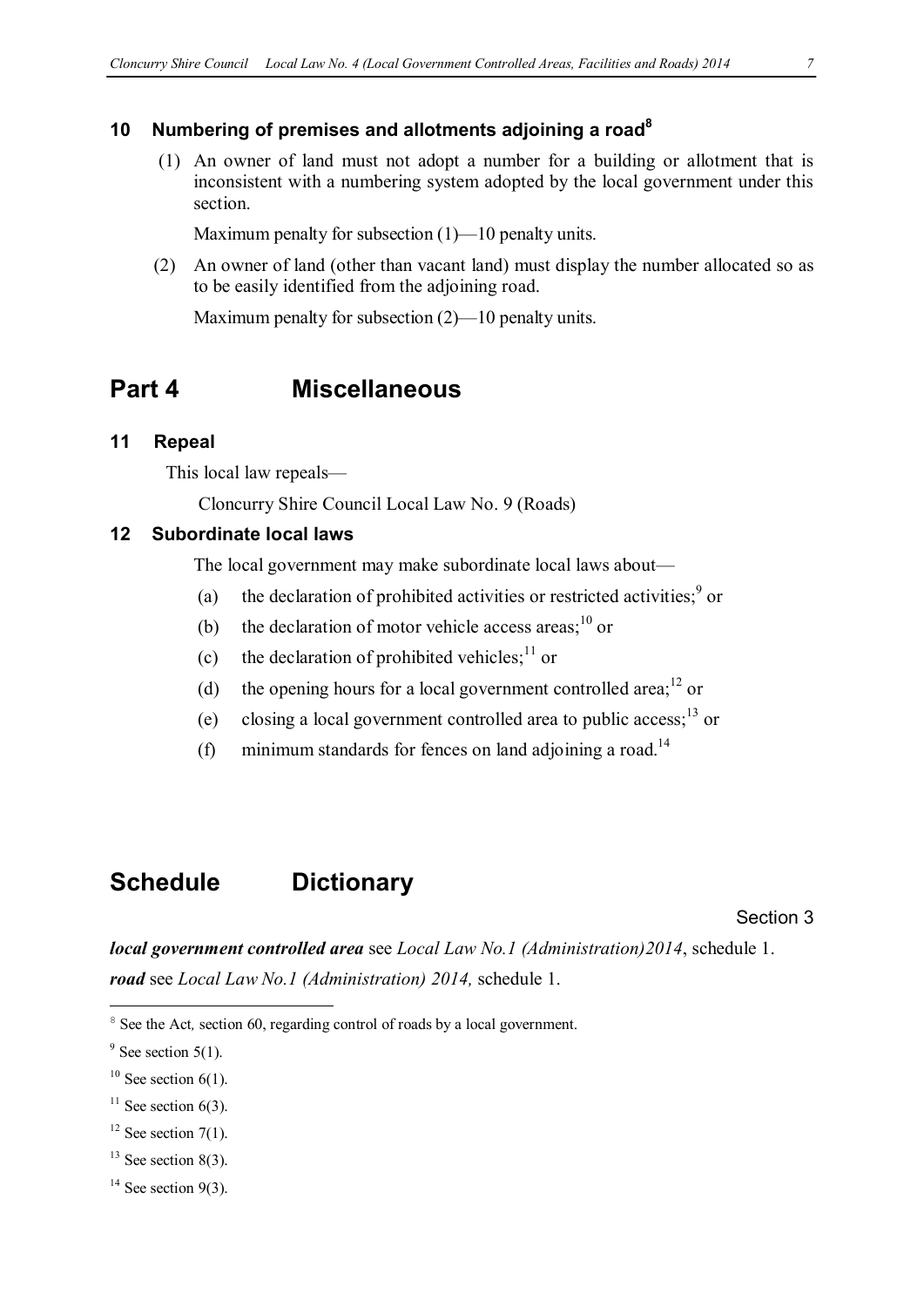#### **10 Numbering of premises and allotments adjoining a road8**

(1)An owner of land must not adopt a number for a building or allotment that is inconsistent with a numbering system adopted by the local government under this section.

Maximum penalty for subsection (1)—10 penalty units.

(2) An owner of land (other than vacant land) must display the number allocated so as to be easily identified from the adjoining road.

Maximum penalty for subsection (2)—10 penalty units.

### **Part 4 Miscellaneous**

#### **11 Repeal**

This local law repeals—

Cloncurry Shire Council Local Law No. 9 (Roads)

#### **12 Subordinate local laws**

The local government may make subordinate local laws about—

- (a) the declaration of prohibited activities or restricted activities;  $9 \text{ or }$
- (b) the declaration of motor vehicle access areas; $^{10}$  or
- (c) the declaration of prohibited vehicles;  $11$  or
- (d) the opening hours for a local government controlled area; $^{12}$  or
- (e) closing a local government controlled area to public access;<sup>13</sup> or
- (f) minimum standards for fences on land adjoining a road.<sup>14</sup>

### **Schedule Dictionary**

Section 3

*local government controlled area* see *Local Law No.1 (Administration)2014*, schedule 1. *road* see *Local Law No.1 (Administration) 2014,* schedule 1.

 $\overline{a}$ 

- $13$  See section 8(3).
- $14$  See section 9(3).

<sup>&</sup>lt;sup>8</sup> See the Act, section 60, regarding control of roads by a local government.

 $9$  See section 5(1).

 $10$  See section 6(1).

 $11$  See section 6(3).

 $12$  See section 7(1).